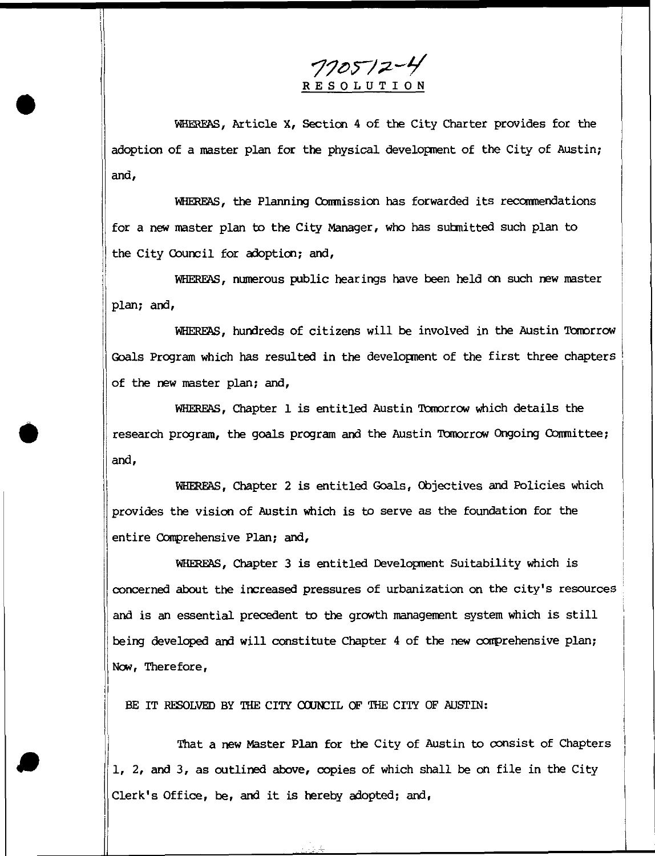$770572 - 4$ RESOLUTION

WHEREAS, Article X, Section 4 of the City Charter provides for the adoption of a master plan for the physical development of the City of Austin; and,

WHEREAS, the Planning Conrnission has forwarded its recommendations for a new master plan to the City Manager, who has submitted such plan to the City Council for adoption; and,

WHEREAS, numerous public hearings have been held on such new master plan; and,

WHEREAS, hundreds of citizens will be involved in the Austin Tomorrow Goals Program which has resulted in the development of the first three chapters of the new master plan; and,

WHEREAS, Chapter 1 is entitled Austin Tomorrow which details the research program, the goals program and the Austin Tomorrow Ongoing Committee; and,

WHEREAS, Chapter 2 is entitled Goals, Objectives and Policies which provides the vision of Austin which is to serve as the foundation for the entire Comprehensive Plan; and,

WHEREAS, Chapter 3 is entitled Development Suitability which is concerned about the increased pressures of urbanization on the city's resources and is an essential precedent to the growth management system which is still being developed and will constitute Chapter 4 of the new comprehensive plan; Now, Therefore,

BE IT RESOLVED BY THE CITY COUNCIL OF THE CITY OF AUSTIN:

That a new Master Plan for the City of Austin to consist of Chapters 1, 2, and 3, as outlined above, copies of which shall be on file in the City Clerk's Office, be, and it is hereby adopted; and,